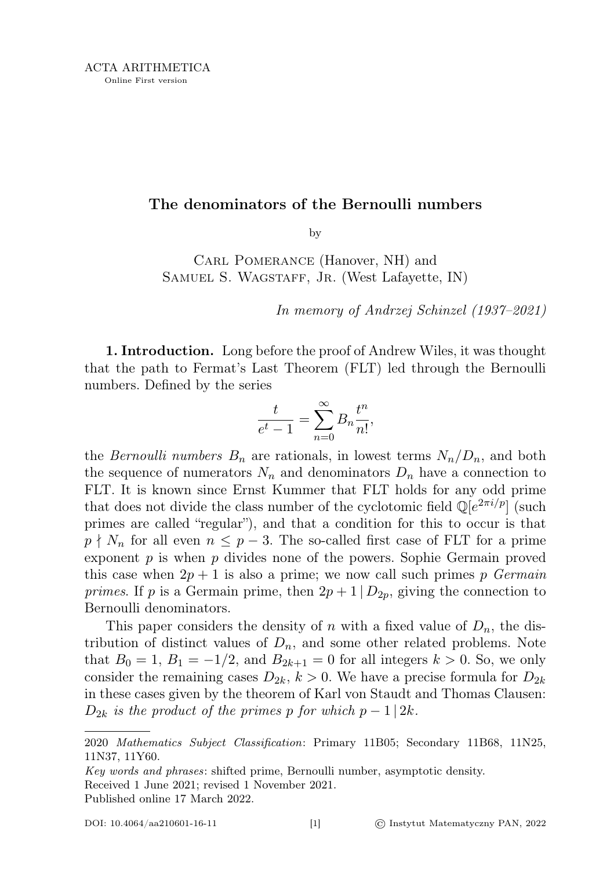## The denominators of the Bernoulli numbers

by

Carl Pomerance (Hanover, NH) and SAMUEL S. WAGSTAFF, JR. (West Lafayette, IN)

In memory of Andrzej Schinzel (1937–2021)

1. Introduction. Long before the proof of Andrew Wiles, it was thought that the path to Fermat's Last Theorem (FLT) led through the Bernoulli numbers. Defined by the series

$$
\frac{t}{e^t - 1} = \sum_{n=0}^{\infty} B_n \frac{t^n}{n!},
$$

the *Bernoulli numbers*  $B_n$  are rationals, in lowest terms  $N_n/D_n$ , and both the sequence of numerators  $N_n$  and denominators  $D_n$  have a connection to FLT. It is known since Ernst Kummer that FLT holds for any odd prime that does not divide the class number of the cyclotomic field  $\mathbb{Q}[e^{2\pi i/p}]$  (such primes are called "regular"), and that a condition for this to occur is that  $p \nmid N_n$  for all even  $n \leq p-3$ . The so-called first case of FLT for a prime exponent  $p$  is when  $p$  divides none of the powers. Sophie Germain proved this case when  $2p + 1$  is also a prime; we now call such primes p Germain primes. If p is a Germain prime, then  $2p + 1 | D_{2p}$ , giving the connection to Bernoulli denominators.

This paper considers the density of n with a fixed value of  $D_n$ , the distribution of distinct values of  $D_n$ , and some other related problems. Note that  $B_0 = 1, B_1 = -1/2$ , and  $B_{2k+1} = 0$  for all integers  $k > 0$ . So, we only consider the remaining cases  $D_{2k}$ ,  $k > 0$ . We have a precise formula for  $D_{2k}$ in these cases given by the theorem of Karl von Staudt and Thomas Clausen:  $D_{2k}$  is the product of the primes p for which  $p-1/2k$ .

<sup>2020</sup> Mathematics Subject Classification: Primary 11B05; Secondary 11B68, 11N25, 11N37, 11Y60.

Key words and phrases: shifted prime, Bernoulli number, asymptotic density. Received 1 June 2021; revised 1 November 2021. Published online 17 March 2022.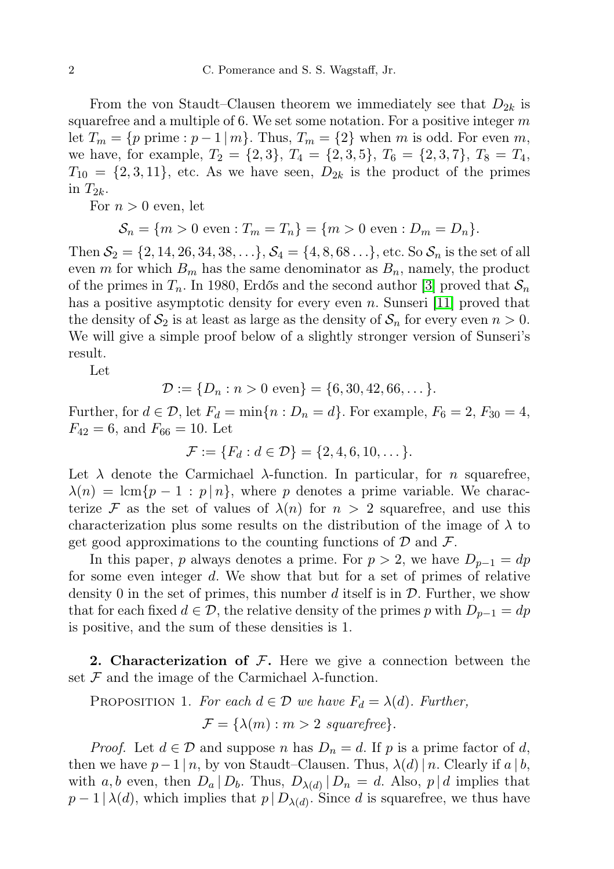From the von Staudt–Clausen theorem we immediately see that  $D_{2k}$  is squarefree and a multiple of 6. We set some notation. For a positive integer  $m$ let  $T_m = \{p \text{ prime} : p-1 \mid m\}$ . Thus,  $T_m = \{2\}$  when m is odd. For even m, we have, for example,  $T_2 = \{2,3\}, T_4 = \{2,3,5\}, T_6 = \{2,3,7\}, T_8 = T_4$ ,  $T_{10} = \{2, 3, 11\}$ , etc. As we have seen,  $D_{2k}$  is the product of the primes in  $T_{2k}$ .

For  $n > 0$  even, let

$$
S_n = \{m > 0 \text{ even} : T_m = T_n\} = \{m > 0 \text{ even} : D_m = D_n\}.
$$

Then  $S_2 = \{2, 14, 26, 34, 38, \ldots\}, S_4 = \{4, 8, 68 \ldots\}, \text{etc. So } S_n \text{ is the set of all }$ even m for which  $B_m$  has the same denominator as  $B_n$ , namely, the product of the primes in  $T_n$ . In 1980, Erdős and the second author [\[3\]](#page-13-0) proved that  $S_n$ has a positive asymptotic density for every even n. Sunseri [\[11\]](#page-14-0) proved that the density of  $S_2$  is at least as large as the density of  $S_n$  for every even  $n > 0$ . We will give a simple proof below of a slightly stronger version of Sunseri's result.

Let

$$
\mathcal{D} := \{D_n : n > 0 \text{ even}\} = \{6, 30, 42, 66, \dots\}.
$$

Further, for  $d \in \mathcal{D}$ , let  $F_d = \min\{n : D_n = d\}$ . For example,  $F_6 = 2$ ,  $F_{30} = 4$ ,  $F_{42} = 6$ , and  $F_{66} = 10$ . Let

$$
\mathcal{F} := \{F_d : d \in \mathcal{D}\} = \{2, 4, 6, 10, \dots\}.
$$

Let  $\lambda$  denote the Carmichael  $\lambda$ -function. In particular, for *n* squarefree,  $\lambda(n) = \text{lcm}\{p-1 : p \mid n\},\$  where p denotes a prime variable. We characterize F as the set of values of  $\lambda(n)$  for  $n > 2$  squarefree, and use this characterization plus some results on the distribution of the image of  $\lambda$  to get good approximations to the counting functions of  $\mathcal D$  and  $\mathcal F$ .

In this paper, p always denotes a prime. For  $p > 2$ , we have  $D_{p-1} = dp$ for some even integer d. We show that but for a set of primes of relative density 0 in the set of primes, this number d itself is in  $\mathcal D$ . Further, we show that for each fixed  $d \in \mathcal{D}$ , the relative density of the primes p with  $D_{p-1} = dp$ is positive, and the sum of these densities is 1.

**2. Characterization of F.** Here we give a connection between the set  $\mathcal F$  and the image of the Carmichael  $\lambda$ -function.

<span id="page-1-0"></span>PROPOSITION 1. For each  $d \in \mathcal{D}$  we have  $F_d = \lambda(d)$ . Further,

$$
\mathcal{F} = \{ \lambda(m) : m > 2 \; squarefree \}.
$$

*Proof.* Let  $d \in \mathcal{D}$  and suppose n has  $D_n = d$ . If p is a prime factor of d, then we have  $p-1 \mid n$ , by von Staudt–Clausen. Thus,  $\lambda(d) \mid n$ . Clearly if  $a \mid b$ , with a, b even, then  $D_a | D_b$ . Thus,  $D_{\lambda(d)} | D_n = d$ . Also,  $p | d$  implies that  $p-1 \mid \lambda(d)$ , which implies that  $p \mid D_{\lambda(d)}$ . Since d is squarefree, we thus have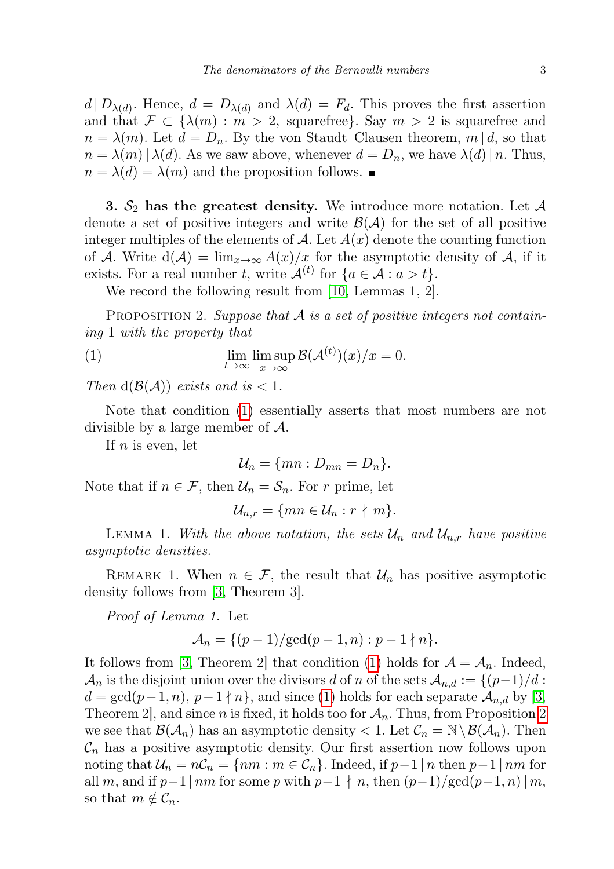$d | D_{\lambda(d)}$ . Hence,  $d = D_{\lambda(d)}$  and  $\lambda(d) = F_d$ . This proves the first assertion and that  $\mathcal{F} \subset \{\lambda(m) : m > 2$ , squarefree}. Say  $m > 2$  is squarefree and  $n = \lambda(m)$ . Let  $d = D_n$ . By the von Staudt–Clausen theorem,  $m | d$ , so that  $n = \lambda(m) |\lambda(d)$ . As we saw above, whenever  $d = D_n$ , we have  $\lambda(d) | n$ . Thus,  $n = \lambda(d) = \lambda(m)$  and the proposition follows.

3.  $S_2$  has the greatest density. We introduce more notation. Let  $A$ denote a set of positive integers and write  $\mathcal{B}(\mathcal{A})$  for the set of all positive integer multiples of the elements of A. Let  $A(x)$  denote the counting function of A. Write  $d(\mathcal{A}) = \lim_{x\to\infty} A(x)/x$  for the asymptotic density of A, if it exists. For a real number t, write  $\mathcal{A}^{(t)}$  for  $\{a \in \mathcal{A} : a > t\}.$ 

We record the following result from [\[10,](#page-13-1) Lemmas 1, 2].

<span id="page-2-1"></span>PROPOSITION 2. Suppose that  $A$  is a set of positive integers not containing 1 with the property that

(1) 
$$
\lim_{t \to \infty} \limsup_{x \to \infty} \mathcal{B}(\mathcal{A}^{(t)})(x)/x = 0.
$$

Then  $d(\mathcal{B}(\mathcal{A}))$  exists and is  $< 1$ .

Note that condition [\(1\)](#page-2-0) essentially asserts that most numbers are not divisible by a large member of A.

If  $n$  is even, let

<span id="page-2-0"></span>
$$
\mathcal{U}_n = \{mn : D_{mn} = D_n\}.
$$

Note that if  $n \in \mathcal{F}$ , then  $\mathcal{U}_n = \mathcal{S}_n$ . For r prime, let

$$
\mathcal{U}_{n,r} = \{mn \in \mathcal{U}_n : r \nmid m\}.
$$

LEMMA 1. With the above notation, the sets  $\mathcal{U}_n$  and  $\mathcal{U}_{n,r}$  have positive asymptotic densities.

REMARK 1. When  $n \in \mathcal{F}$ , the result that  $\mathcal{U}_n$  has positive asymptotic density follows from [\[3,](#page-13-0) Theorem 3].

Proof of Lemma 1. Let

$$
A_n = \{ (p-1)/\text{gcd}(p-1, n) : p-1 \nmid n \}.
$$

It follows from [\[3,](#page-13-0) Theorem 2] that condition [\(1\)](#page-2-0) holds for  $A = A_n$ . Indeed,  $\mathcal{A}_n$  is the disjoint union over the divisors d of n of the sets  $\mathcal{A}_{n,d} := \{(p-1)/d :$  $d = \gcd(p-1, n), p-1 \nmid n$ , and since [\(1\)](#page-2-0) holds for each separate  $\mathcal{A}_{n,d}$  by [\[3,](#page-13-0) Theorem [2](#page-2-1), and since n is fixed, it holds too for  $A_n$ . Thus, from Proposition 2 we see that  $\mathcal{B}(\mathcal{A}_n)$  has an asymptotic density  $\langle 1$ . Let  $\mathcal{C}_n = \mathbb{N} \setminus \mathcal{B}(\mathcal{A}_n)$ . Then  $C_n$  has a positive asymptotic density. Our first assertion now follows upon noting that  $\mathcal{U}_n = n\mathcal{C}_n = \{nm : m \in \mathcal{C}_n\}$ . Indeed, if  $p-1 \mid n$  then  $p-1 \mid nm$  for all m, and if  $p-1 \mid nm$  for some p with  $p-1 \nmid n$ , then  $(p-1)/\text{gcd}(p-1, n) \mid m$ , so that  $m \notin \mathcal{C}_n$ .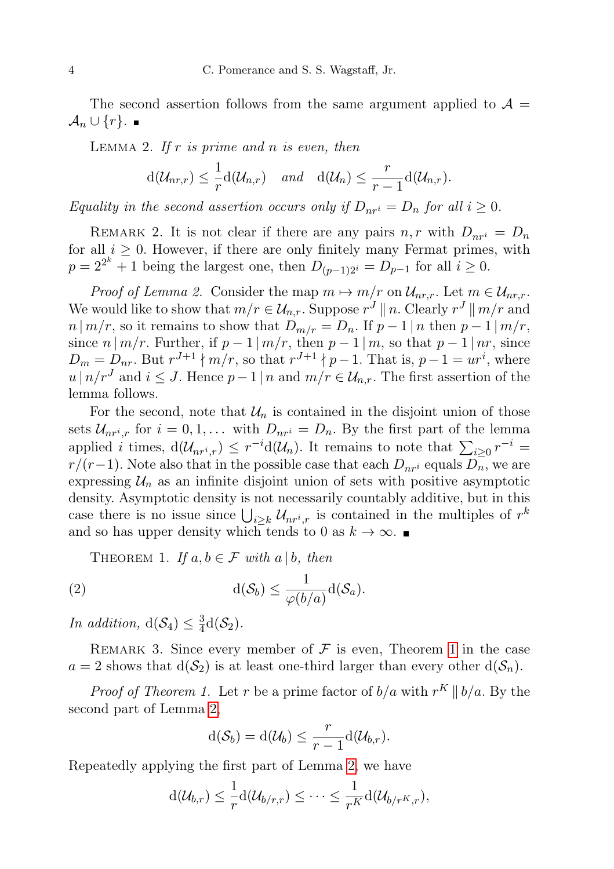The second assertion follows from the same argument applied to  $\mathcal{A} =$  $\mathcal{A}_n \cup \{r\}$ . ■

<span id="page-3-1"></span>LEMMA 2. If r is prime and n is even, then

$$
d(\mathcal{U}_{nr,r}) \leq \frac{1}{r}d(\mathcal{U}_{n,r})
$$
 and  $d(\mathcal{U}_n) \leq \frac{r}{r-1}d(\mathcal{U}_{n,r}).$ 

Equality in the second assertion occurs only if  $D_{nr} = D_n$  for all  $i \geq 0$ .

REMARK 2. It is not clear if there are any pairs  $n, r$  with  $D_{nr} = D_n$ for all  $i \geq 0$ . However, if there are only finitely many Fermat primes, with  $p = 2^{2^k} + 1$  being the largest one, then  $D_{(p-1)2^i} = D_{p-1}$  for all  $i \ge 0$ .

*Proof of Lemma 2.* Consider the map  $m \mapsto m/r$  on  $\mathcal{U}_{nr,r}$ . Let  $m \in \mathcal{U}_{nr,r}$ . We would like to show that  $m/r \in \mathcal{U}_{n,r}$ . Suppose  $r^J \parallel n$ . Clearly  $r^J \parallel m/r$  and  $n | m/r$ , so it remains to show that  $D_{m/r} = D_n$ . If  $p-1 | n$  then  $p-1 | m/r$ , since  $n | m/r$ . Further, if  $p-1 | m/r$ , then  $p-1 | m$ , so that  $p-1 | nr$ , since  $D_m = D_{nr}$ . But  $r^{J+1} \nmid m/r$ , so that  $r^{J+1} \nmid p-1$ . That is,  $p-1 = ur^i$ , where  $u \mid n/r<sup>J</sup>$  and  $i \leq J$ . Hence  $p-1 \mid n$  and  $m/r \in \mathcal{U}_{n,r}$ . The first assertion of the lemma follows.

For the second, note that  $\mathcal{U}_n$  is contained in the disjoint union of those sets  $\mathcal{U}_{nr^i,r}$  for  $i = 0,1,...$  with  $D_{nr^i} = D_n$ . By the first part of the lemma applied *i* times,  $d(\mathcal{U}_{nr^i,r}) \leq r^{-i}d(\mathcal{U}_n)$ . It remains to note that  $\sum_{i\geq 0} r^{-i} =$  $r/(r-1)$ . Note also that in the possible case that each  $D_{nr}$  equals  $D_n$ , we are expressing  $U_n$  as an infinite disjoint union of sets with positive asymptotic density. Asymptotic density is not necessarily countably additive, but in this case there is no issue since  $\bigcup_{i\geq k} \mathcal{U}_{nr^i,r}$  is contained in the multiples of  $r^k$ and so has upper density which tends to 0 as  $k \to \infty$ .

<span id="page-3-0"></span>THEOREM 1. If  $a, b \in \mathcal{F}$  with  $a \mid b$ , then

(2) 
$$
d(\mathcal{S}_b) \leq \frac{1}{\varphi(b/a)}d(\mathcal{S}_a).
$$

In addition,  $d(S_4) \leq \frac{3}{4}$  $\frac{3}{4}d(S_2)$ .

REMARK 3. Since every member of  $\mathcal F$  is even, Theorem [1](#page-3-0) in the case  $a = 2$  shows that  $d(S_2)$  is at least one-third larger than every other  $d(S_n)$ .

*Proof of Theorem 1.* Let r be a prime factor of  $b/a$  with  $r^K || b/a$ . By the second part of Lemma [2,](#page-3-1)

<span id="page-3-2"></span>
$$
d(\mathcal{S}_b) = d(\mathcal{U}_b) \leq \frac{r}{r-1}d(\mathcal{U}_{b,r}).
$$

Repeatedly applying the first part of Lemma [2,](#page-3-1) we have

$$
d(\mathcal{U}_{b,r}) \leq \frac{1}{r} d(\mathcal{U}_{b/r,r}) \leq \cdots \leq \frac{1}{r^K} d(\mathcal{U}_{b/r^K,r}),
$$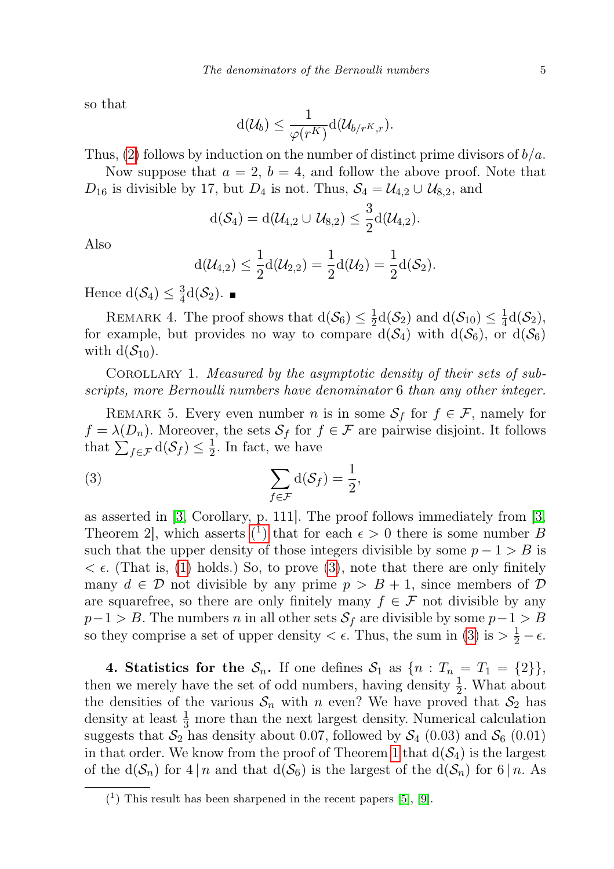so that

$$
d(\mathcal{U}_b) \leq \frac{1}{\varphi(r^K)} d(\mathcal{U}_{b/r^K, r}).
$$

Thus,  $(2)$  follows by induction on the number of distinct prime divisors of  $b/a$ .

Now suppose that  $a = 2$ ,  $b = 4$ , and follow the above proof. Note that  $D_{16}$  is divisible by 17, but  $D_4$  is not. Thus,  $S_4 = \mathcal{U}_{4,2} \cup \mathcal{U}_{8,2}$ , and

$$
\mathrm{d}(\mathcal{S}_4)=\mathrm{d}(\mathcal{U}_{4,2}\cup \mathcal{U}_{8,2})\leq \frac{3}{2}\mathrm{d}(\mathcal{U}_{4,2}).
$$

Also

<span id="page-4-1"></span>
$$
d(\mathcal{U}_{4,2}) \leq \frac{1}{2}d(\mathcal{U}_{2,2}) = \frac{1}{2}d(\mathcal{U}_2) = \frac{1}{2}d(\mathcal{S}_2).
$$

Hence  $d(\mathcal{S}_4) \leq \frac{3}{4}$  $\frac{3}{4}d(S_2).$ 

REMARK 4. The proof shows that  $d(S_6) \leq \frac{1}{2}$  $\frac{1}{2}d(\mathcal{S}_2)$  and  $d(\mathcal{S}_{10}) \leq \frac{1}{4}$  $\frac{1}{4}d(S_2),$ for example, but provides no way to compare  $d(S_4)$  with  $d(S_6)$ , or  $d(S_6)$ with  $d(S_{10})$ .

Corollary 1. Measured by the asymptotic density of their sets of subscripts, more Bernoulli numbers have denominator 6 than any other integer.

<span id="page-4-3"></span>REMARK 5. Every even number *n* is in some  $S_f$  for  $f \in \mathcal{F}$ , namely for  $f = \lambda(D_n)$ . Moreover, the sets  $S_f$  for  $f \in \mathcal{F}$  are pairwise disjoint. It follows that  $\sum_{f \in \mathcal{F}} d(\mathcal{S}_f) \leq \frac{1}{2}$  $\frac{1}{2}$ . In fact, we have

(3) 
$$
\sum_{f \in \mathcal{F}} d(\mathcal{S}_f) = \frac{1}{2},
$$

as asserted in [\[3,](#page-13-0) Corollary, p. 111]. The proof follows immediately from [\[3,](#page-13-0) Theorem 2, which asserts  $(1)$  $(1)$  that for each  $\epsilon > 0$  there is some number B such that the upper density of those integers divisible by some  $p - 1 > B$  is  $\epsilon$ . (That is, [\(1\)](#page-2-0) holds.) So, to prove [\(3\)](#page-4-1), note that there are only finitely many  $d \in \mathcal{D}$  not divisible by any prime  $p > B + 1$ , since members of  $\mathcal{D}$ are squarefree, so there are only finitely many  $f \in \mathcal{F}$  not divisible by any  $p-1 > B$ . The numbers n in all other sets  $S_f$  are divisible by some  $p-1 > B$ so they comprise a set of upper density  $\lt \epsilon$ . Thus, the sum in [\(3\)](#page-4-1) is  $> \frac{1}{2} - \epsilon$ .

<span id="page-4-2"></span>4. Statistics for the  $S_n$ . If one defines  $S_1$  as  $\{n : T_n = T_1 = \{2\}\},\$ then we merely have the set of odd numbers, having density  $\frac{1}{2}$ . What about the densities of the various  $S_n$  with n even? We have proved that  $S_2$  has density at least  $\frac{1}{3}$  more than the next largest density. Numerical calculation suggests that  $S_2$  has density about 0.07, followed by  $S_4$  (0.03) and  $S_6$  (0.01) in that order. We know from the proof of Theorem [1](#page-3-0) that  $d(S_4)$  is the largest of the  $d(S_n)$  for  $4 | n$  and that  $d(S_6)$  is the largest of the  $d(S_n)$  for  $6 | n$ . As

<span id="page-4-0"></span> $(1)$  This result has been sharpened in the recent papers [\[5\]](#page-13-2), [\[9\]](#page-13-3).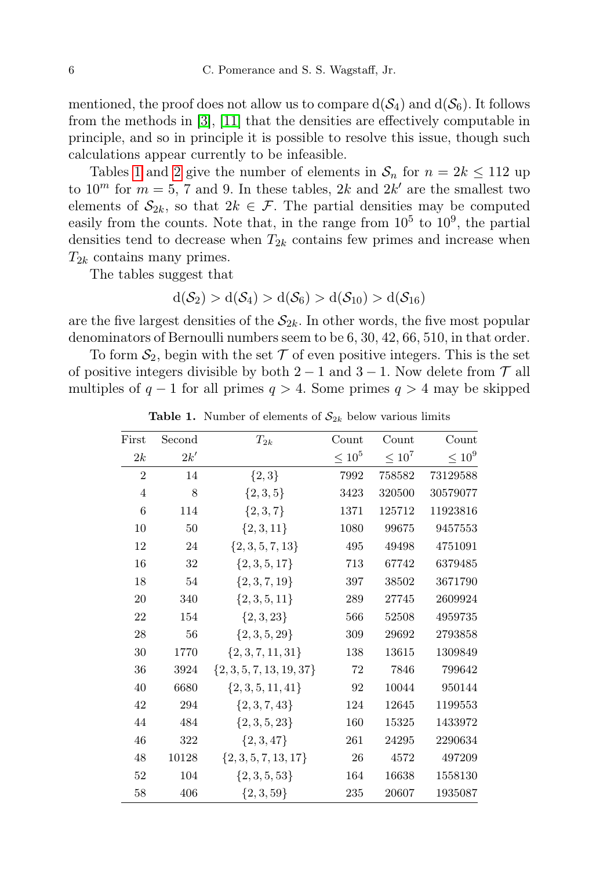mentioned, the proof does not allow us to compare  $d(S_4)$  and  $d(S_6)$ . It follows from the methods in [\[3\]](#page-13-0), [\[11\]](#page-14-0) that the densities are effectively computable in principle, and so in principle it is possible to resolve this issue, though such calculations appear currently to be infeasible.

Tables [1](#page-4-2) and [2](#page-4-2) give the number of elements in  $S_n$  for  $n = 2k \le 112$  up to  $10^m$  for  $m = 5$ , 7 and 9. In these tables, 2k and 2k' are the smallest two elements of  $\mathcal{S}_{2k}$ , so that  $2k \in \mathcal{F}$ . The partial densities may be computed easily from the counts. Note that, in the range from  $10^5$  to  $10^9$ , the partial densities tend to decrease when  $T_{2k}$  contains few primes and increase when  $T_{2k}$  contains many primes.

The tables suggest that

$$
d(\mathcal{S}_2) > d(\mathcal{S}_4) > d(\mathcal{S}_6) > d(\mathcal{S}_{10}) > d(\mathcal{S}_{16})
$$

are the five largest densities of the  $S_{2k}$ . In other words, the five most popular denominators of Bernoulli numbers seem to be 6, 30, 42, 66, 510, in that order.

To form  $S_2$ , begin with the set  $\mathcal T$  of even positive integers. This is the set of positive integers divisible by both  $2 - 1$  and  $3 - 1$ . Now delete from  $\mathcal{T}$  all multiples of  $q - 1$  for all primes  $q > 4$ . Some primes  $q > 4$  may be skipped

| <b>Table 1.</b> Number of elements of $S_{2k}$ below various limits |
|---------------------------------------------------------------------|
|---------------------------------------------------------------------|

| First          | Second | $T_{2k}$                     | $\operatorname{Count}$ | Count       | Count       |
|----------------|--------|------------------------------|------------------------|-------------|-------------|
| 2k             | 2k'    |                              | $< 10^{5}$             | $\leq 10^7$ | $\leq 10^9$ |
| $\overline{2}$ | 14     | $\{2,3\}$                    | 7992                   | 758582      | 73129588    |
| $\overline{4}$ | 8      | $\{2,3,5\}$                  | 3423                   | 320500      | 30579077    |
| 6              | 114    | $\{2,3,7\}$                  | 1371                   | 125712      | 11923816    |
| 10             | 50     | ${2, 3, 11}$                 | 1080                   | 99675       | 9457553     |
| 12             | 24     | $\{2, 3, 5, 7, 13\}$         | 495                    | 49498       | 4751091     |
| 16             | 32     | $\{2, 3, 5, 17\}$            | 713                    | 67742       | 6379485     |
| 18             | 54     | $\{2, 3, 7, 19\}$            | 397                    | 38502       | 3671790     |
| 20             | 340    | $\{2,3,5,11\}$               | 289                    | 27745       | 2609924     |
| 22             | 154    | $\{2,3,23\}$                 | 566                    | 52508       | 4959735     |
| 28             | 56     | $\{2, 3, 5, 29\}$            | 309                    | 29692       | 2793858     |
| 30             | 1770   | $\{2,3,7,11,31\}$            | 138                    | 13615       | 1309849     |
| 36             | 3924   | $\{2, 3, 5, 7, 13, 19, 37\}$ | 72                     | 7846        | 799642      |
| 40             | 6680   | $\{2,3,5,11,41\}$            | 92                     | 10044       | 950144      |
| 42             | 294    | $\{2, 3, 7, 43\}$            | 124                    | 12645       | 1199553     |
| 44             | 484    | $\{2,3,5,23\}$               | 160                    | 15325       | 1433972     |
| 46             | 322    | $\{2,3,47\}$                 | 261                    | 24295       | 2290634     |
| 48             | 10128  | $\{2, 3, 5, 7, 13, 17\}$     | 26                     | 4572        | 497209      |
| 52             | 104    | $\{2,3,5,53\}$               | 164                    | 16638       | 1558130     |
| 58             | 406    | $\{2,3,59\}$                 | 235                    | 20607       | 1935087     |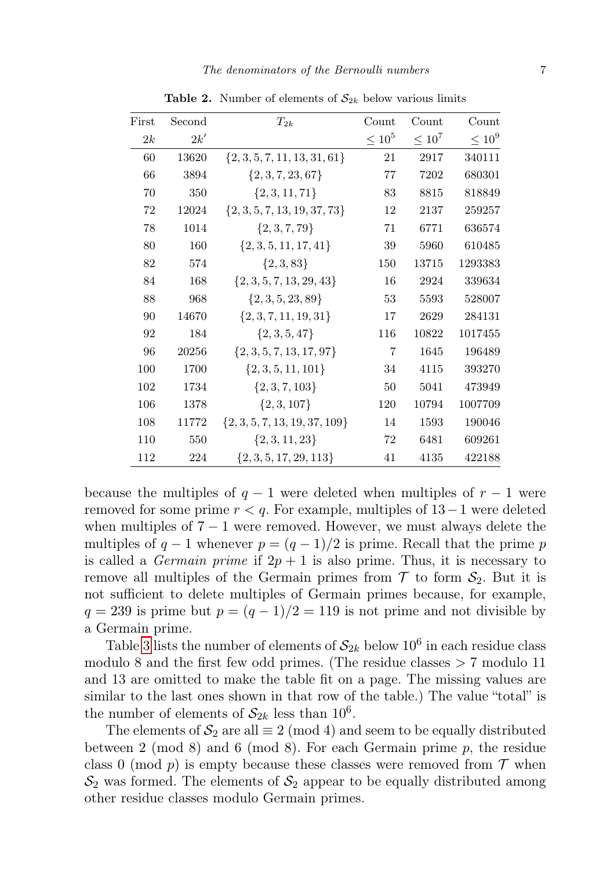| First | Second | $T_{2k}$                          | $_{\rm Count}$ | Count       | Count       |
|-------|--------|-----------------------------------|----------------|-------------|-------------|
| 2k    | 2k'    |                                   | $\leq 10^5$    | $\leq 10^7$ | $\leq 10^9$ |
| 60    | 13620  | $\{2, 3, 5, 7, 11, 13, 31, 61\}$  | 21             | 2917        | 340111      |
| 66    | 3894   | $\{2, 3, 7, 23, 67\}$             | 77             | 7202        | 680301      |
| 70    | 350    | $\{2, 3, 11, 71\}$                | 83             | 8815        | 818849      |
| 72    | 12024  | $\{2, 3, 5, 7, 13, 19, 37, 73\}$  | 12             | 2137        | 259257      |
| 78    | 1014   | $\{2, 3, 7, 79\}$                 | 71             | 6771        | 636574      |
| 80    | 160    | $\{2, 3, 5, 11, 17, 41\}$         | 39             | 5960        | 610485      |
| 82    | 574    | $\{2,3,83\}$                      | 150            | 13715       | 1293383     |
| 84    | 168    | $\{2, 3, 5, 7, 13, 29, 43\}$      | 16             | 2924        | 339634      |
| 88    | 968    | $\{2, 3, 5, 23, 89\}$             | 53             | 5593        | 528007      |
| 90    | 14670  | $\{2, 3, 7, 11, 19, 31\}$         | 17             | 2629        | 284131      |
| 92    | 184    | $\{2,3,5,47\}$                    | 116            | 10822       | 1017455     |
| 96    | 20256  | $\{2, 3, 5, 7, 13, 17, 97\}$      | $\overline{7}$ | 1645        | 196489      |
| 100   | 1700   | $\{2, 3, 5, 11, 101\}$            | 34             | 4115        | 393270      |
| 102   | 1734   | $\{2, 3, 7, 103\}$                | 50             | 5041        | 473949      |
| 106   | 1378   | $\{2, 3, 107\}$                   | 120            | 10794       | 1007709     |
| 108   | 11772  | $\{2, 3, 5, 7, 13, 19, 37, 109\}$ | 14             | 1593        | 190046      |
| 110   | 550    | $\{2,3,11,23\}$                   | 72             | 6481        | 609261      |
| 112   | 224    | $\{2, 3, 5, 17, 29, 113\}$        | 41             | 4135        | 422188      |

**Table 2.** Number of elements of  $S_{2k}$  below various limits

because the multiples of  $q - 1$  were deleted when multiples of  $r - 1$  were removed for some prime  $r < q$ . For example, multiples of  $13-1$  were deleted when multiples of  $7 - 1$  were removed. However, we must always delete the multiples of  $q - 1$  whenever  $p = (q - 1)/2$  is prime. Recall that the prime p is called a *Germain prime* if  $2p + 1$  is also prime. Thus, it is necessary to remove all multiples of the Germain primes from  $\mathcal T$  to form  $\mathcal S_2$ . But it is not sufficient to delete multiples of Germain primes because, for example,  $q = 239$  is prime but  $p = (q - 1)/2 = 119$  is not prime and not divisible by a Germain prime.

Table [3](#page-4-2) lists the number of elements of  $\mathcal{S}_{2k}$  below  $10^6$  in each residue class modulo 8 and the first few odd primes. (The residue classes  $> 7$  modulo 11 and 13 are omitted to make the table fit on a page. The missing values are similar to the last ones shown in that row of the table.) The value "total" is the number of elements of  $S_{2k}$  less than  $10^6$ .

The elements of  $S_2$  are all  $\equiv 2 \pmod{4}$  and seem to be equally distributed between 2 (mod 8) and 6 (mod 8). For each Germain prime  $p$ , the residue class 0 (mod p) is empty because these classes were removed from  $\mathcal T$  when  $\mathcal{S}_2$  was formed. The elements of  $\mathcal{S}_2$  appear to be equally distributed among other residue classes modulo Germain primes.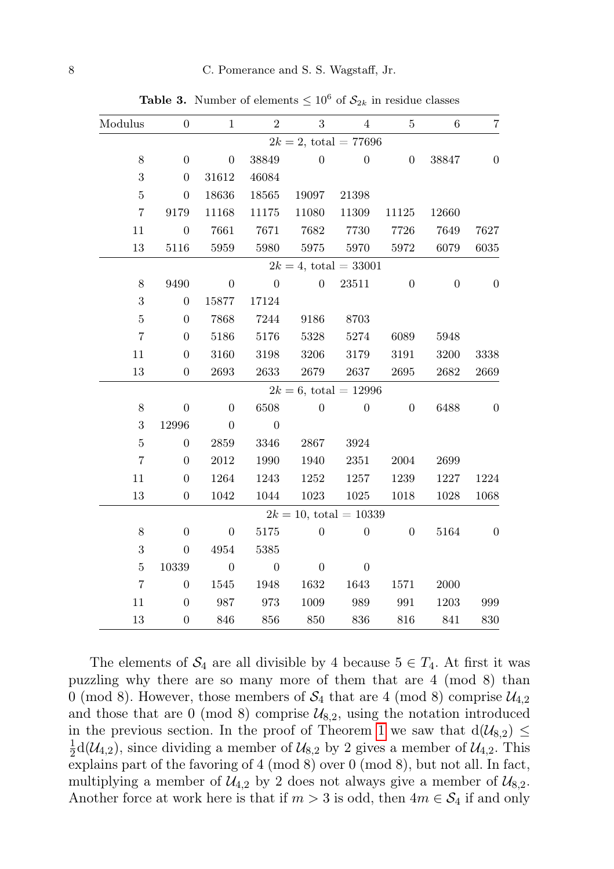| $\overline{7}$   | 6                        | $\bf 5$          | $\overline{4}$            | $\overline{3}$ | $\overline{2}$     | $\mathbf{1}$     | $\overline{0}$   | Modulus        |
|------------------|--------------------------|------------------|---------------------------|----------------|--------------------|------------------|------------------|----------------|
|                  | $2k = 2$ , total = 77696 |                  |                           |                |                    |                  |                  |                |
| $\boldsymbol{0}$ | 38847                    | $\boldsymbol{0}$ | $\overline{0}$            | $\theta$       | 38849              | $\boldsymbol{0}$ | $\boldsymbol{0}$ | $8\,$          |
|                  |                          |                  |                           |                | 46084              | 31612            | $\overline{0}$   | 3              |
|                  |                          |                  | 21398                     | 19097          | 18565              | 18636            | $\boldsymbol{0}$ | $\overline{5}$ |
|                  | 12660                    | 11125            | 11309                     | 11080          | 11175              | 11168            | 9179             | $\overline{7}$ |
| 7627             | 7649                     | 7726             | 7730                      | 7682           | 7671               | 7661             | $\boldsymbol{0}$ | 11             |
| 6035             | 6079                     | 5972             | 5970                      | 5975           | 5980               | 5959             | 5116             | 13             |
|                  |                          |                  | $2k = 4$ , total = 33001  |                |                    |                  |                  |                |
| $\overline{0}$   | $\overline{0}$           | $\overline{0}$   | 23511                     | $\overline{0}$ | $\overline{0}$     | $\boldsymbol{0}$ | 9490             | 8              |
|                  |                          |                  |                           |                | 17124              | 15877            | $\overline{0}$   | $\sqrt{3}$     |
|                  |                          |                  | 8703                      | 9186           | 7244               | 7868             | $\overline{0}$   | 5              |
|                  | 5948                     | 6089             | 5274                      | 5328           | 5176               | 5186             | $\boldsymbol{0}$ | $\overline{7}$ |
| 3338             | 3200                     | 3191             | 3179                      | 3206           | 3198               | 3160             | $\boldsymbol{0}$ | 11             |
| 2669             | 2682                     | 2695             | $2637\,$                  | $2679\,$       | 2633               | 2693             | $\overline{0}$   | 13             |
|                  |                          |                  | $2k = 6$ , total = 12996  |                |                    |                  |                  |                |
| $\overline{0}$   | 6488                     | $\boldsymbol{0}$ | $\boldsymbol{0}$          | $\overline{0}$ | 6508               | $\overline{0}$   | $\boldsymbol{0}$ | 8              |
|                  |                          |                  |                           |                | $\overline{0}$     | $\boldsymbol{0}$ | 12996            | $\sqrt{3}$     |
|                  |                          |                  | 3924                      | 2867           | 3346               | 2859             | $\overline{0}$   | $\overline{5}$ |
|                  | 2699                     | 2004             | 2351                      | 1940           | 1990               | 2012             | $\boldsymbol{0}$ | $\overline{7}$ |
| 1224             | 1227                     | 1239             | 1257                      | 1252           | 1243               | 1264             | $\boldsymbol{0}$ | 11             |
| 1068             | 1028                     | 1018             | 1025                      | 1023           | 1044               | 1042             | $\overline{0}$   | 13             |
|                  |                          |                  | $2k = 10$ , total = 10339 |                |                    |                  |                  |                |
| $\theta$         | 5164                     | $\overline{0}$   | $\theta$                  | $\theta$       | 5175               | $\overline{0}$   | $\theta$         | 8              |
|                  |                          |                  |                           |                | 5385               | 4954             | $\boldsymbol{0}$ | 3              |
|                  |                          |                  | $\theta$                  | $\theta$       | $\boldsymbol{0}$   | $\boldsymbol{0}$ | 10339            | $\overline{5}$ |
|                  | 2000                     | 1571             | 1643                      | 1632           | 1948               | 1545             | $\overline{0}$   | $\overline{7}$ |
| 999              | 1203                     | 991              | 989                       | 1009           | $\boldsymbol{973}$ | 987              | $\boldsymbol{0}$ | 11             |
| 830              | $841\,$                  | 816              | 836                       | 850            | 856                | 846              | $\overline{0}$   | 13             |

**Table 3.** Number of elements  $\leq 10^6$  of  $S_{2k}$  in residue classes

The elements of  $S_4$  are all divisible by 4 because  $5 \in T_4$ . At first it was puzzling why there are so many more of them that are 4 (mod 8) than 0 (mod 8). However, those members of  $S_4$  that are 4 (mod 8) comprise  $\mathcal{U}_{4,2}$ and those that are 0 (mod 8) comprise  $\mathcal{U}_{8,2}$ , using the notation introduced in the previous section. In the proof of Theorem [1](#page-3-0) we saw that  $d(U_{8,2}) \le$ 1  $\frac{1}{2}d(\mathcal{U}_{4,2})$ , since dividing a member of  $\mathcal{U}_{8,2}$  by 2 gives a member of  $\mathcal{U}_{4,2}$ . This explains part of the favoring of 4 (mod 8) over 0 (mod 8), but not all. In fact, multiplying a member of  $\mathcal{U}_{4,2}$  by 2 does not always give a member of  $\mathcal{U}_{8,2}$ . Another force at work here is that if  $m > 3$  is odd, then  $4m \in \mathcal{S}_4$  if and only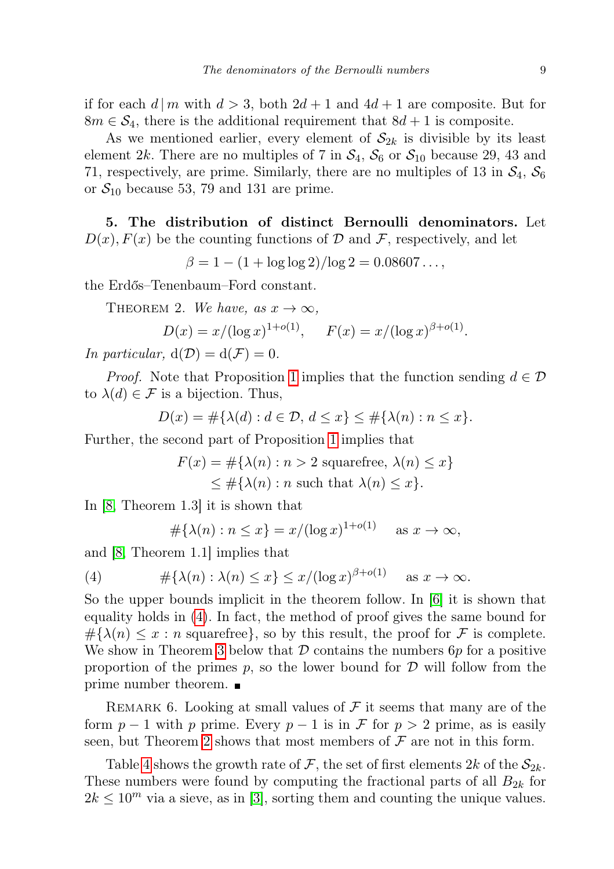if for each  $d \mid m$  with  $d > 3$ , both  $2d + 1$  and  $4d + 1$  are composite. But for  $8m \in \mathcal{S}_4$ , there is the additional requirement that  $8d+1$  is composite.

As we mentioned earlier, every element of  $S_{2k}$  is divisible by its least element 2k. There are no multiples of 7 in  $S_4$ ,  $S_6$  or  $S_{10}$  because 29, 43 and 71, respectively, are prime. Similarly, there are no multiples of 13 in  $\mathcal{S}_4$ ,  $\mathcal{S}_6$ or  $S_{10}$  because 53, 79 and 131 are prime.

5. The distribution of distinct Bernoulli denominators. Let  $D(x)$ ,  $F(x)$  be the counting functions of  $D$  and  $\mathcal F$ , respectively, and let

 $\beta = 1 - (1 + \log \log 2) / \log 2 = 0.08607 \ldots$ 

<span id="page-8-1"></span>the Erdős–Tenenbaum–Ford constant.

THEOREM 2. We have, as  $x \to \infty$ ,

$$
D(x) = x/(\log x)^{1+o(1)}, \quad F(x) = x/(\log x)^{\beta+o(1)}.
$$

In particular,  $d(D) = d(F) = 0$ .

*Proof.* Note that Proposition [1](#page-1-0) implies that the function sending  $d \in \mathcal{D}$ to  $\lambda(d) \in \mathcal{F}$  is a bijection. Thus,

$$
D(x) = \#\{\lambda(d) : d \in \mathcal{D}, d \le x\} \le \#\{\lambda(n) : n \le x\}.
$$

Further, the second part of Proposition [1](#page-1-0) implies that

$$
F(x) = \#\{\lambda(n) : n > 2 \text{ squarefree, } \lambda(n) \le x\}
$$
  

$$
\le \#\{\lambda(n) : n \text{ such that } \lambda(n) \le x\}.
$$

In [\[8,](#page-13-4) Theorem 1.3] it is shown that

<span id="page-8-0"></span>
$$
\#\{\lambda(n) : n \le x\} = x/(\log x)^{1+o(1)} \quad \text{as } x \to \infty,
$$

and [\[8,](#page-13-4) Theorem 1.1] implies that

(4) 
$$
\#\{\lambda(n): \lambda(n) \le x\} \le x/(\log x)^{\beta+o(1)} \text{ as } x \to \infty.
$$

So the upper bounds implicit in the theorem follow. In [\[6\]](#page-13-5) it is shown that equality holds in [\(4\)](#page-8-0). In fact, the method of proof gives the same bound for  $\#\{\lambda(n)\leq x : n \text{ squarefree}\}\,$ , so by this result, the proof for F is complete. We show in Theorem [3](#page-10-0) below that  $\mathcal D$  contains the numbers  $6p$  for a positive proportion of the primes  $p$ , so the lower bound for  $\mathcal D$  will follow from the prime number theorem.

<span id="page-8-2"></span>REMARK 6. Looking at small values of  $\mathcal F$  it seems that many are of the form  $p-1$  with p prime. Every  $p-1$  is in F for  $p > 2$  prime, as is easily seen, but Theorem [2](#page-8-1) shows that most members of  $\mathcal F$  are not in this form.

Table [4](#page-8-2) shows the growth rate of F, the set of first elements  $2k$  of the  $S_{2k}$ . These numbers were found by computing the fractional parts of all  $B_{2k}$  for  $2k \leq 10^m$  via a sieve, as in [\[3\]](#page-13-0), sorting them and counting the unique values.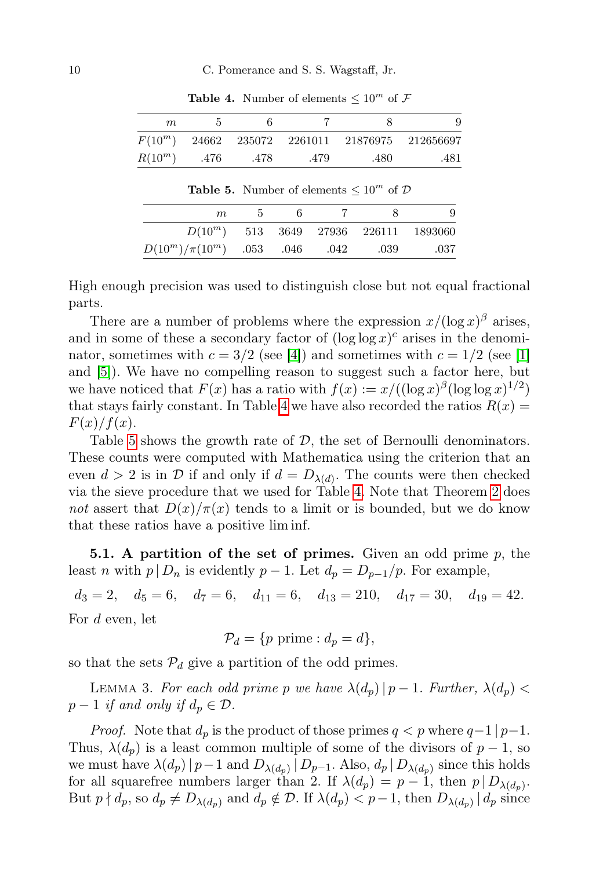| $m_{\iota}$ |       |        |         |      | 9                  |
|-------------|-------|--------|---------|------|--------------------|
| $F(10^m)$   | 24662 | 235072 | 2261011 |      | 21876975 212656697 |
| $R(10^m)$   | .476  | .478   | .479    | .480 | .481               |

**Table 4.** Number of elements  $\leq 10^m$  of F

Table 5. Number of elements  $\leq 10^m$  of  $D$ 

| $m_{\cdot}$                   | h. |      |                                         |      |
|-------------------------------|----|------|-----------------------------------------|------|
|                               |    |      | $D(10^m)$ 513 3649 27936 226111 1893060 |      |
| $D(10^m)/\pi(10^m)$ .053 .046 |    | .042 | .039                                    | .037 |

High enough precision was used to distinguish close but not equal fractional parts.

There are a number of problems where the expression  $x/(\log x)^\beta$  arises, and in some of these a secondary factor of  $(\log \log x)^c$  arises in the denominator, sometimes with  $c = 3/2$  (see [\[4\]](#page-13-6)) and sometimes with  $c = 1/2$  (see [\[1\]](#page-13-7) and [\[5\]](#page-13-2)). We have no compelling reason to suggest such a factor here, but we have noticed that  $F(x)$  has a ratio with  $f(x) := x/((\log x)^{\beta} (\log \log x)^{1/2})$ that stays fairly constant. In Table [4](#page-8-2) we have also recorded the ratios  $R(x) =$  $F(x)/f(x)$ .

Table [5](#page-8-2) shows the growth rate of  $D$ , the set of Bernoulli denominators. These counts were computed with Mathematica using the criterion that an even  $d > 2$  is in  $\mathcal{D}$  if and only if  $d = D_{\lambda(d)}$ . The counts were then checked via the sieve procedure that we used for Table [4.](#page-8-2) Note that Theorem [2](#page-8-1) does not assert that  $D(x)/\pi(x)$  tends to a limit or is bounded, but we do know that these ratios have a positive lim inf.

**5.1.** A partition of the set of primes. Given an odd prime  $p$ , the least n with  $p | D_n$  is evidently  $p - 1$ . Let  $d_p = D_{p-1}/p$ . For example,

 $d_3 = 2$ ,  $d_5 = 6$ ,  $d_7 = 6$ ,  $d_{11} = 6$ ,  $d_{13} = 210$ ,  $d_{17} = 30$ ,  $d_{19} = 42$ . For d even, let

$$
\mathcal{P}_d = \{p \text{ prime}: d_p = d\},\
$$

so that the sets  $P_d$  give a partition of the odd primes.

<span id="page-9-0"></span>LEMMA 3. For each odd prime p we have  $\lambda(d_p)$   $|p-1$ . Further,  $\lambda(d_p)$  <  $p-1$  if and only if  $d_p \in \mathcal{D}$ .

*Proof.* Note that  $d_p$  is the product of those primes  $q < p$  where  $q-1/p-1$ . Thus,  $\lambda(d_p)$  is a least common multiple of some of the divisors of  $p-1$ , so we must have  $\lambda(d_p)$  |  $p-1$  and  $D_{\lambda(d_p)}$  |  $D_{p-1}$ . Also,  $d_p$  |  $D_{\lambda(d_p)}$  since this holds for all squarefree numbers larger than 2. If  $\lambda(d_p) = p - 1$ , then  $p | D_{\lambda(d_p)}$ . But  $p \nmid d_p$ , so  $d_p \neq D_{\lambda(d_p)}$  and  $d_p \notin \mathcal{D}$ . If  $\lambda(d_p) < p-1$ , then  $D_{\lambda(d_p)} | d_p$  since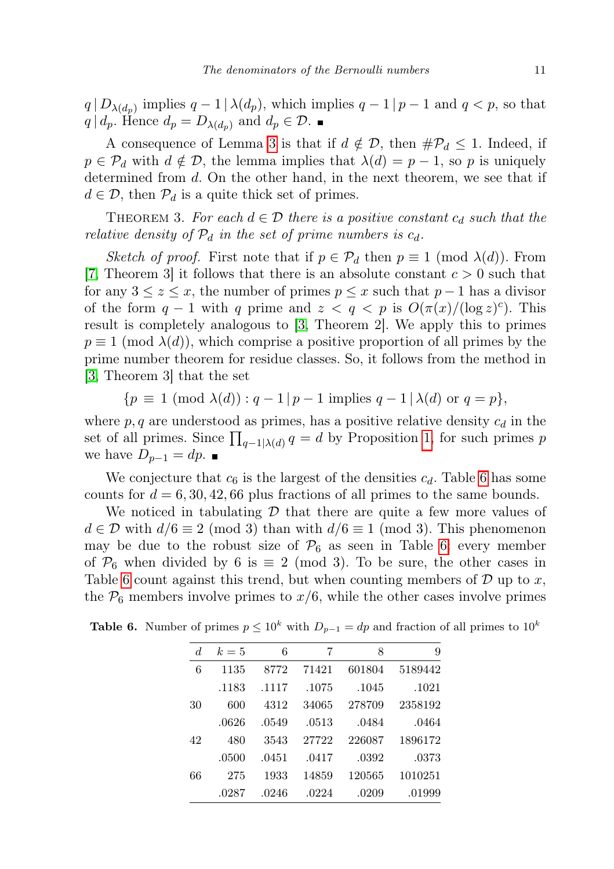$q | D_{\lambda(d_p)}$  implies  $q-1 | \lambda(d_p)$ , which implies  $q-1 | p-1$  and  $q < p$ , so that  $q | d_p$ . Hence  $d_p = D_{\lambda(d_p)}$  and  $d_p \in \mathcal{D}$ .

A consequence of Lemma [3](#page-9-0) is that if  $d \notin \mathcal{D}$ , then  $\#\mathcal{P}_d \leq 1$ . Indeed, if  $p \in \mathcal{P}_d$  with  $d \notin \mathcal{D}$ , the lemma implies that  $\lambda(d) = p - 1$ , so p is uniquely determined from d. On the other hand, in the next theorem, we see that if  $d \in \mathcal{D}$ , then  $\mathcal{P}_d$  is a quite thick set of primes.

<span id="page-10-0"></span>THEOREM 3. For each  $d \in \mathcal{D}$  there is a positive constant  $c_d$  such that the relative density of  $\mathcal{P}_d$  in the set of prime numbers is  $c_d$ .

Sketch of proof. First note that if  $p \in \mathcal{P}_d$  then  $p \equiv 1 \pmod{\lambda(d)}$ . From [\[7,](#page-13-8) Theorem 3] it follows that there is an absolute constant  $c > 0$  such that for any  $3 \leq z \leq x$ , the number of primes  $p \leq x$  such that  $p-1$  has a divisor of the form  $q-1$  with q prime and  $z < q < p$  is  $O(\pi(x)/(\log z)^c)$ . This result is completely analogous to [\[3,](#page-13-0) Theorem 2]. We apply this to primes  $p \equiv 1 \pmod{\lambda(d)}$ , which comprise a positive proportion of all primes by the prime number theorem for residue classes. So, it follows from the method in [\[3,](#page-13-0) Theorem 3] that the set

$$
\{p \equiv 1 \pmod{\lambda(d)} : q-1 \mid p-1 \text{ implies } q-1 \mid \lambda(d) \text{ or } q=p\},\
$$

where  $p, q$  are understood as primes, has a positive relative density  $c_d$  in the set of all primes. Since  $\prod_{q-1|\lambda(d)} q = d$  by Proposition [1,](#page-1-0) for such primes p we have  $D_{p-1} = dp$ .

We conjecture that  $c_6$  is the largest of the densities  $c_d$ . Table [6](#page-10-0) has some counts for  $d = 6, 30, 42, 66$  plus fractions of all primes to the same bounds.

We noticed in tabulating  $\mathcal D$  that there are quite a few more values of  $d \in \mathcal{D}$  with  $d/6 \equiv 2 \pmod{3}$  than with  $d/6 \equiv 1 \pmod{3}$ . This phenomenon may be due to the robust size of  $P_6$  as seen in Table [6:](#page-10-0) every member of  $\mathcal{P}_6$  when divided by 6 is  $\equiv$  2 (mod 3). To be sure, the other cases in Table [6](#page-10-0) count against this trend, but when counting members of  $D$  up to x, the  $P_6$  members involve primes to  $x/6$ , while the other cases involve primes

| 9       | 8      | 7     | 6     | $k=5$ | d. |
|---------|--------|-------|-------|-------|----|
| 5189442 | 601804 | 71421 | 8772  | 1135  | 6  |
| .1021   | .1045  | .1075 | .1117 | .1183 |    |
| 2358192 | 278709 | 34065 | 4312  | 600   | 30 |
| .0464   | .0484  | .0513 | .0549 | .0626 |    |
| 1896172 | 226087 | 27722 | 3543  | 480   | 42 |
| .0373   | .0392  | .0417 | .0451 | .0500 |    |
| 1010251 | 120565 | 14859 | 1933  | 275   | 66 |
| .01999  | .0209  | .0224 | .0246 | .0287 |    |

**Table 6.** Number of primes  $p \leq 10^k$  with  $D_{p-1} = dp$  and fraction of all primes to  $10^k$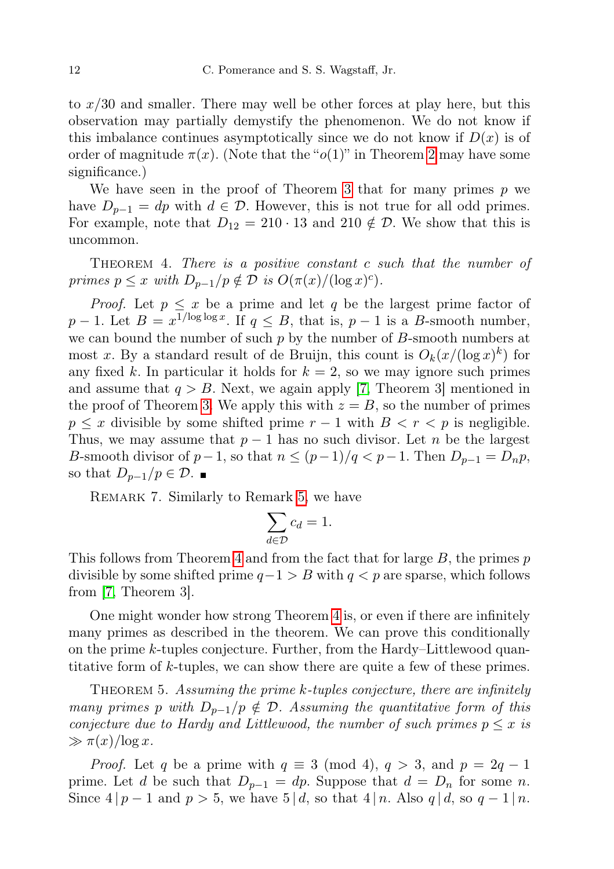to x/30 and smaller. There may well be other forces at play here, but this observation may partially demystify the phenomenon. We do not know if this imbalance continues asymptotically since we do not know if  $D(x)$  is of order of magnitude  $\pi(x)$ . (Note that the " $o(1)$ " in Theorem [2](#page-8-1) may have some significance.)

We have seen in the proof of Theorem [3](#page-10-0) that for many primes  $p$  we have  $D_{p-1} = dp$  with  $d \in \mathcal{D}$ . However, this is not true for all odd primes. For example, note that  $D_{12} = 210 \cdot 13$  and  $210 \notin \mathcal{D}$ . We show that this is uncommon.

<span id="page-11-0"></span>THEOREM 4. There is a positive constant c such that the number of primes  $p \leq x$  with  $D_{p-1}/p \notin \mathcal{D}$  is  $O(\pi(x)/(\log x)^c)$ .

*Proof.* Let  $p \leq x$  be a prime and let q be the largest prime factor of  $p-1$ . Let  $B = x^{1/\log \log x}$ . If  $q \leq B$ , that is,  $p-1$  is a B-smooth number, we can bound the number of such  $p$  by the number of  $B$ -smooth numbers at most x. By a standard result of de Bruijn, this count is  $O_k(x/(\log x)^k)$  for any fixed k. In particular it holds for  $k = 2$ , so we may ignore such primes and assume that  $q > B$ . Next, we again apply [\[7,](#page-13-8) Theorem 3] mentioned in the proof of Theorem [3.](#page-10-0) We apply this with  $z = B$ , so the number of primes  $p \leq x$  divisible by some shifted prime  $r - 1$  with  $B \leq r \leq p$  is negligible. Thus, we may assume that  $p-1$  has no such divisor. Let n be the largest B-smooth divisor of  $p-1$ , so that  $n \le (p-1)/q < p-1$ . Then  $D_{p-1} = D_n p$ , so that  $D_{p-1}/p \in \mathcal{D}$ . ■

Remark 7. Similarly to Remark [5,](#page-4-3) we have

$$
\sum_{d\in \mathcal{D}}c_d=1.
$$

This follows from Theorem [4](#page-11-0) and from the fact that for large  $B$ , the primes  $p$ divisible by some shifted prime  $q-1 > B$  with  $q < p$  are sparse, which follows from [\[7,](#page-13-8) Theorem 3].

One might wonder how strong Theorem [4](#page-11-0) is, or even if there are infinitely many primes as described in the theorem. We can prove this conditionally on the prime k-tuples conjecture. Further, from the Hardy–Littlewood quantitative form of k-tuples, we can show there are quite a few of these primes.

<span id="page-11-1"></span>THEOREM 5. Assuming the prime  $k$ -tuples conjecture, there are infinitely many primes p with  $D_{p-1}/p \notin \mathcal{D}$ . Assuming the quantitative form of this conjecture due to Hardy and Littlewood, the number of such primes  $p \leq x$  is  $\gg \pi(x)/\log x$ .

*Proof.* Let q be a prime with  $q \equiv 3 \pmod{4}$ ,  $q > 3$ , and  $p = 2q - 1$ prime. Let d be such that  $D_{p-1} = dp$ . Suppose that  $d = D_n$  for some n. Since  $4 | p - 1$  and  $p > 5$ , we have  $5 | d$ , so that  $4 | n$ . Also  $q | d$ , so  $q - 1 | n$ .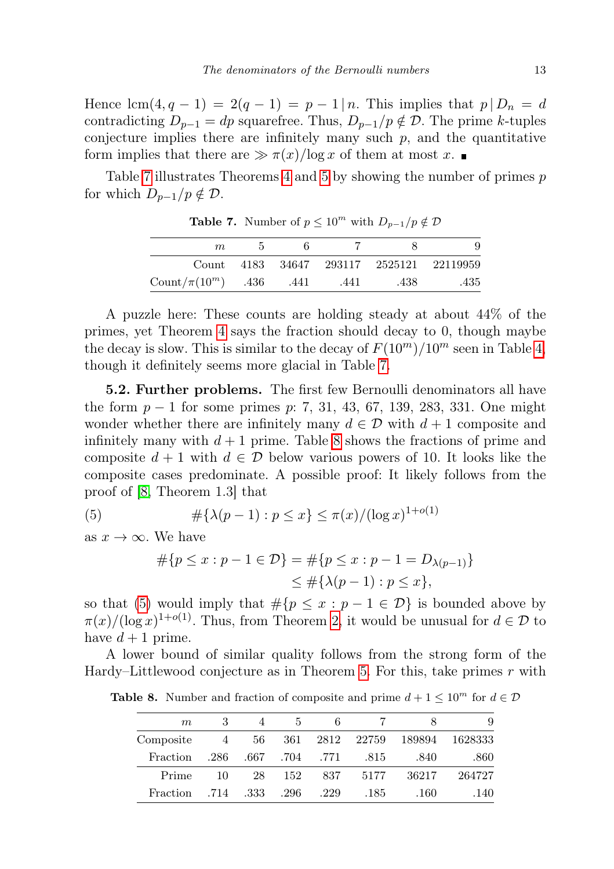Hence  $\text{lcm}(4, q - 1) = 2(q - 1) = p - 1/n$ . This implies that  $p | D_n = d$ contradicting  $D_{p-1} = dp$  squarefree. Thus,  $D_{p-1}/p \notin \mathcal{D}$ . The prime k-tuples conjecture implies there are infinitely many such  $p$ , and the quantitative form implies that there are  $\gg \pi(x)/\log x$  of them at most x.

Table [7](#page-11-1) illustrates Theorems [4](#page-11-0) and [5](#page-11-1) by showing the number of primes p for which  $D_{p-1}/p \notin \mathcal{D}$ .

| $m_{\rm c}$             | h    |      |      |                                          |
|-------------------------|------|------|------|------------------------------------------|
|                         |      |      |      | Count 4183 34647 293117 2525121 22119959 |
| Count/ $\pi(10^m)$ .436 | .441 | .441 | .438 | .435                                     |

Table 7. Number of  $p \leq 10^m$  with  $D_{p-1}/p \notin \mathcal{D}$ 

A puzzle here: These counts are holding steady at about 44% of the primes, yet Theorem [4](#page-11-0) says the fraction should decay to 0, though maybe the decay is slow. This is similar to the decay of  $F(10^m)/10^m$  seen in Table [4,](#page-8-2) though it definitely seems more glacial in Table [7.](#page-11-1)

5.2. Further problems. The first few Bernoulli denominators all have the form  $p-1$  for some primes p: 7, 31, 43, 67, 139, 283, 331. One might wonder whether there are infinitely many  $d \in \mathcal{D}$  with  $d+1$  composite and infinitely many with  $d + 1$  prime. Table [8](#page-12-0) shows the fractions of prime and composite  $d + 1$  with  $d \in \mathcal{D}$  below various powers of 10. It looks like the composite cases predominate. A possible proof: It likely follows from the proof of [\[8,](#page-13-4) Theorem 1.3] that

(5) 
$$
\#\{\lambda(p-1) : p \le x\} \le \pi(x) / (\log x)^{1+o(1)}
$$

as  $x \to \infty$ . We have

<span id="page-12-0"></span>
$$
#{p \le x : p - 1 \in \mathcal{D}} = #{p \le x : p - 1 = D_{\lambda(p-1)}}\le #{\lambda(p - 1) : p \le x},
$$

so that [\(5\)](#page-12-0) would imply that  $\#\{p \leq x : p-1 \in \mathcal{D}\}\$ is bounded above by  $\pi(x)/(\log x)^{1+o(1)}$ . Thus, from Theorem [2,](#page-8-1) it would be unusual for  $d \in \mathcal{D}$  to have  $d+1$  prime.

A lower bound of similar quality follows from the strong form of the Hardy–Littlewood conjecture as in Theorem [5.](#page-11-1) For this, take primes  $r$  with

**Table 8.** Number and fraction of composite and prime  $d + 1 \leq 10^m$  for  $d \in \mathcal{D}$ 

| 9       | x      |       | 6    | 5    |      |                  | m         |
|---------|--------|-------|------|------|------|------------------|-----------|
| 1628333 | 189894 | 22759 | 2812 | 361  | 56   | $4\phantom{000}$ | Composite |
| .860    | .840   | .815  | .771 | .704 | .667 | .286             | Fraction  |
| 264727  | 36217  | 5177  | 837  | 152  | 28   | 10               | Prime     |
| .140    | .160   | .185  | .229 | .296 | .333 | .714             | Fraction  |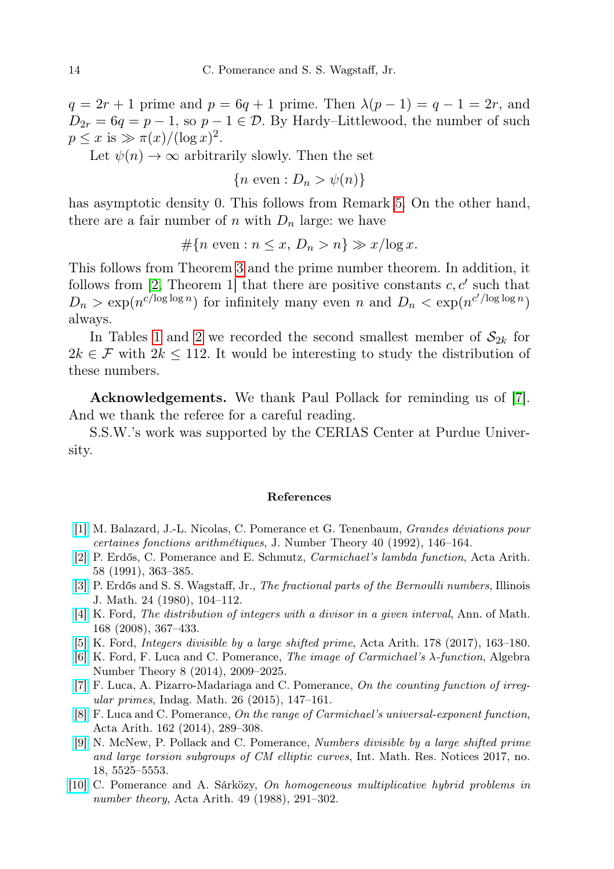$q = 2r + 1$  prime and  $p = 6q + 1$  prime. Then  $\lambda(p-1) = q-1 = 2r$ , and  $D_{2r} = 6q = p - 1$ , so  $p - 1 \in \mathcal{D}$ . By Hardy–Littlewood, the number of such  $p \leq x$  is  $\gg \pi(x)/(\log x)^2$ .

Let  $\psi(n) \to \infty$  arbitrarily slowly. Then the set

 ${n \text{ even}: D_n > \psi(n)}$ 

has asymptotic density 0. This follows from Remark [5.](#page-4-3) On the other hand, there are a fair number of n with  $D_n$  large: we have

# ${n \in \mathbb{R} : n \leq x, D_n > n} \geq x/\log x$ .

This follows from Theorem [3](#page-10-0) and the prime number theorem. In addition, it follows from [\[2,](#page-13-9) Theorem 1] that there are positive constants  $c, c'$  such that  $D_n > \exp(n^{c/\log \log n})$  for infinitely many even n and  $D_n < \exp(n^{c/\log \log n})$ always.

In Tables [1](#page-4-2) and [2](#page-4-2) we recorded the second smallest member of  $S_{2k}$  for  $2k \in \mathcal{F}$  with  $2k \leq 112$ . It would be interesting to study the distribution of these numbers.

Acknowledgements. We thank Paul Pollack for reminding us of [\[7\]](#page-13-8). And we thank the referee for a careful reading.

S.S.W.'s work was supported by the CERIAS Center at Purdue University.

## References

- <span id="page-13-7"></span>[\[1\]](http://dx.doi.org/10.1016/0022-314X(92)90036-O) M. Balazard, J.-L. Nicolas, C. Pomerance et G. Tenenbaum, Grandes déviations pour certaines fonctions arithmétiques, J. Number Theory 40 (1992), 146–164.
- <span id="page-13-9"></span>[\[2\]](http://dx.doi.org/10.4064/aa-58-4-363-385) P. Erdős, C. Pomerance and E. Schmutz, Carmichael's lambda function, Acta Arith. 58 (1991), 363–385.
- <span id="page-13-0"></span>[\[3\]](http://dx.doi.org/10.1215/ijm/1256047799) P. Erdős and S. S. Wagstaff, Jr., The fractional parts of the Bernoulli numbers, Illinois J. Math. 24 (1980), 104–112.
- <span id="page-13-6"></span>[\[4\]](http://dx.doi.org/10.4007/annals.2008.168.367) K. Ford, The distribution of integers with a divisor in a given interval, Ann. of Math. 168 (2008), 367–433.
- <span id="page-13-2"></span>[\[5\]](http://dx.doi.org/10.4064/aa8495-2-2017) K. Ford, Integers divisible by a large shifted prime, Acta Arith. 178 (2017), 163–180.
- <span id="page-13-5"></span>[\[6\]](http://dx.doi.org/10.2140/ant.2014.8.2009) K. Ford, F. Luca and C. Pomerance, The image of Carmichael's λ-function, Algebra Number Theory 8 (2014), 2009–2025.
- <span id="page-13-8"></span>[\[7\]](http://dx.doi.org/10.1016/j.indag.2014.09.002) F. Luca, A. Pizarro-Madariaga and C. Pomerance, On the counting function of irregular primes, Indag. Math. 26 (2015), 147–161.
- <span id="page-13-4"></span>[\[8\]](http://dx.doi.org/10.4064/aa162-3-6) F. Luca and C. Pomerance, On the range of Carmichael's universal-exponent function, Acta Arith. 162 (2014), 289–308.
- <span id="page-13-3"></span>[\[9\]](http://dx.doi.org/10.1093/imrn/rnw173) N. McNew, P. Pollack and C. Pomerance, Numbers divisible by a large shifted prime and large torsion subgroups of CM elliptic curves, Int. Math. Res. Notices 2017, no. 18, 5525–5553.
- <span id="page-13-1"></span>[\[10\]](http://dx.doi.org/10.4064/aa-49-3-291-302) C. Pomerance and A. Sárközy, On homogeneous multiplicative hybrid problems in number theory, Acta Arith. 49 (1988), 291–302.